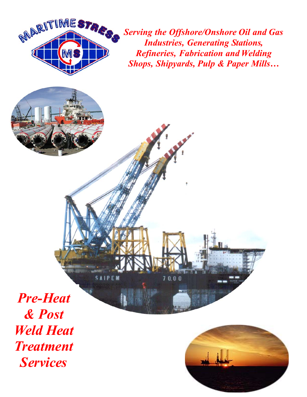

*Serving the Offshore/Onshore Oil and Gas Industries, Generating Stations, Refineries, Fabrication and Welding Shops, Shipyards, Pulp & Paper Mills…* 

 $70.00$ 

**SAIPEN** 

*Pre-Heat & Post Weld Heat Treatment Services* 

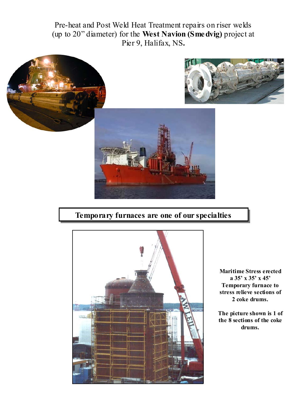Pre-heat and Post Weld Heat Treatment repairs on riser welds (up to 20" diameter) for the **West Navion (Smedvig)** project at Pier 9, Halifax, NS**.**



## **Temporary furnaces are one of our specialties**



**Maritime Stress erected a 35' x 35' x 45' Temporary furnace to stress relieve sections of 2 coke drums.** 

**The picture shown is 1 of the 8 sections of the coke drums.**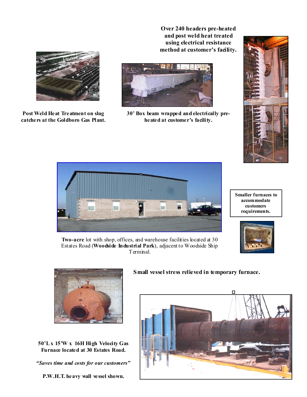**Over 240 headers pre-heated and post weld heat treated using electrical resistance method at customer's facility.**



**Post Weld Heat Treatment on slug catchers at the Goldboro Gas Plant.**



**30' Box beam wrapped and electrically preheated at customer's facility.** 





**Smaller furnaces to accommodate customers requirements.** 



**Two-acre** lot with shop, offices, and warehouse facilities located at 30 Estates Road (**Woodside Industrial Park**), adjacent to Woodside Ship Terminal.



**50'L x 15'W x 16H High Velocity Gas Furnace located at 30 Estates Road.** 

*"Saves time and costs for our customers"* 

## **Small vessel stress relieved in temporary furnace.**